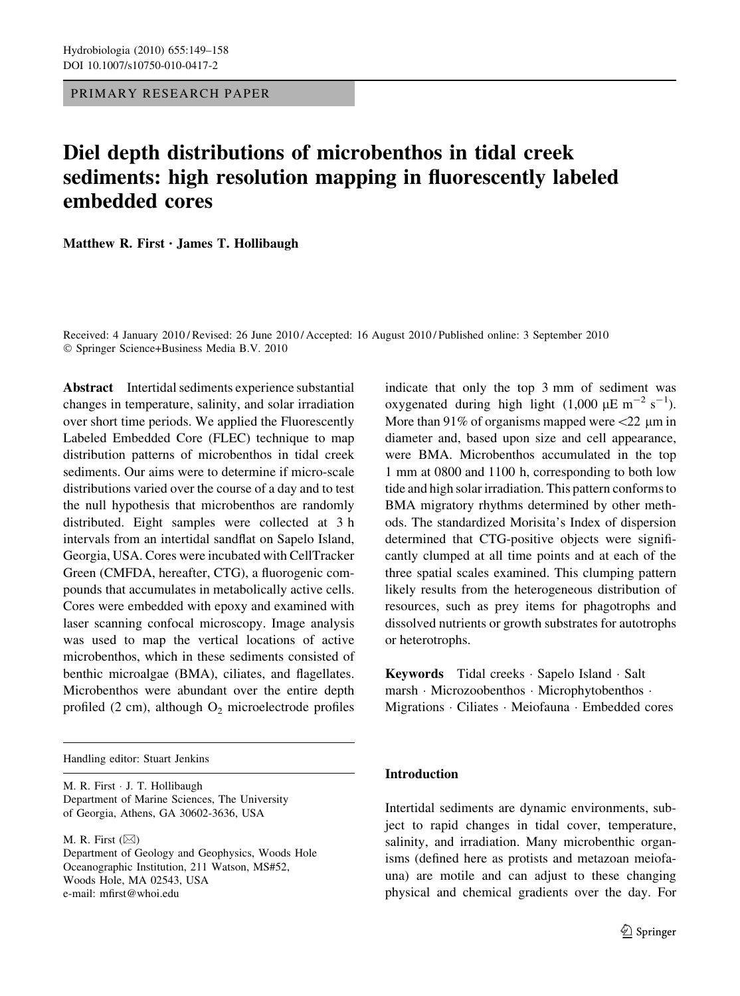PRIMARY RESEARCH PAPER

# Diel depth distributions of microbenthos in tidal creek sediments: high resolution mapping in fluorescently labeled embedded cores

Matthew R. First • James T. Hollibaugh

Received: 4 January 2010 / Revised: 26 June 2010 / Accepted: 16 August 2010 / Published online: 3 September 2010 © Springer Science+Business Media B.V. 2010

Abstract Intertidal sediments experience substantial changes in temperature, salinity, and solar irradiation over short time periods. We applied the Fluorescently Labeled Embedded Core (FLEC) technique to map distribution patterns of microbenthos in tidal creek sediments. Our aims were to determine if micro-scale distributions varied over the course of a day and to test the null hypothesis that microbenthos are randomly distributed. Eight samples were collected at 3 h intervals from an intertidal sandflat on Sapelo Island, Georgia, USA. Cores were incubated with CellTracker Green (CMFDA, hereafter, CTG), a fluorogenic compounds that accumulates in metabolically active cells. Cores were embedded with epoxy and examined with laser scanning confocal microscopy. Image analysis was used to map the vertical locations of active microbenthos, which in these sediments consisted of benthic microalgae (BMA), ciliates, and flagellates. Microbenthos were abundant over the entire depth profiled  $(2 \text{ cm})$ , although  $O_2$  microelectrode profiles

Handling editor: Stuart Jenkins

M. R. First - J. T. Hollibaugh Department of Marine Sciences, The University of Georgia, Athens, GA 30602-3636, USA

M. R. First  $(\boxtimes)$ 

Department of Geology and Geophysics, Woods Hole Oceanographic Institution, 211 Watson, MS#52, Woods Hole, MA 02543, USA e-mail: mfirst@whoi.edu

indicate that only the top 3 mm of sediment was oxygenated during high light  $(1,000 \mu E m^{-2} s^{-1})$ . More than 91% of organisms mapped were  $\langle 22 \rangle$  lm in diameter and, based upon size and cell appearance, were BMA. Microbenthos accumulated in the top 1 mm at 0800 and 1100 h, corresponding to both low tide and high solar irradiation. This pattern conforms to BMA migratory rhythms determined by other methods. The standardized Morisita's Index of dispersion determined that CTG-positive objects were significantly clumped at all time points and at each of the three spatial scales examined. This clumping pattern likely results from the heterogeneous distribution of resources, such as prey items for phagotrophs and dissolved nutrients or growth substrates for autotrophs or heterotrophs.

Keywords Tidal creeks - Sapelo Island - Salt marsh · Microzoobenthos · Microphytobenthos · Migrations - Ciliates - Meiofauna - Embedded cores

## Introduction

Intertidal sediments are dynamic environments, subject to rapid changes in tidal cover, temperature, salinity, and irradiation. Many microbenthic organisms (defined here as protists and metazoan meiofauna) are motile and can adjust to these changing physical and chemical gradients over the day. For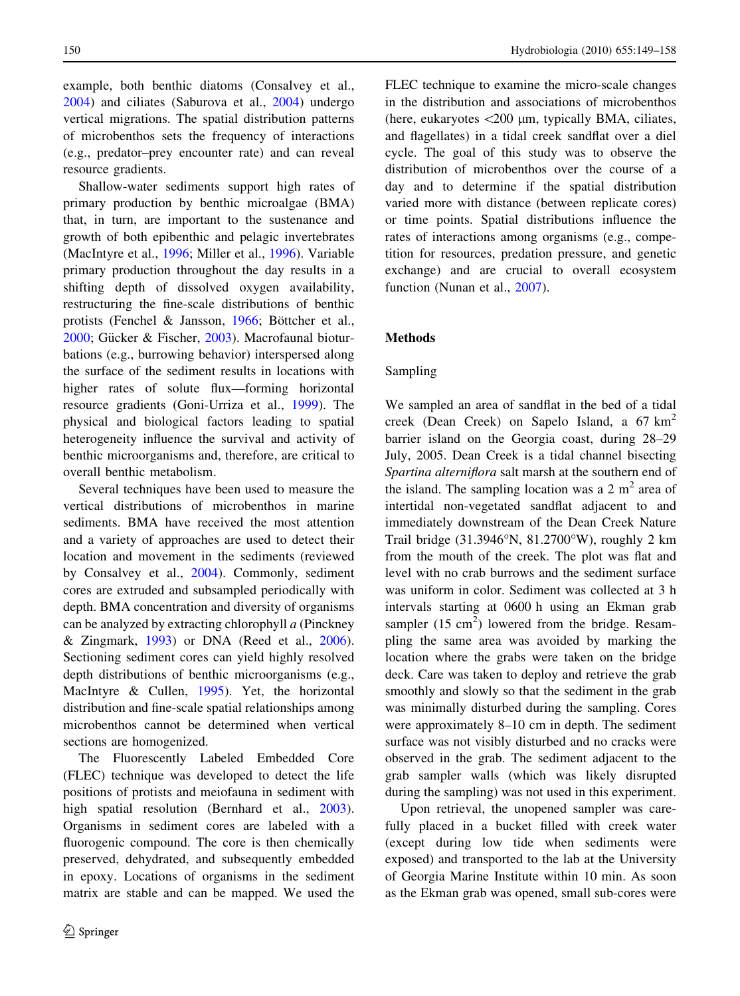example, both benthic diatoms (Consalvey et al., [2004\)](#page-8-0) and ciliates (Saburova et al., [2004](#page-9-0)) undergo vertical migrations. The spatial distribution patterns of microbenthos sets the frequency of interactions (e.g., predator–prey encounter rate) and can reveal resource gradients.

Shallow-water sediments support high rates of primary production by benthic microalgae (BMA) that, in turn, are important to the sustenance and growth of both epibenthic and pelagic invertebrates (MacIntyre et al., [1996;](#page-8-0) Miller et al., [1996\)](#page-8-0). Variable primary production throughout the day results in a shifting depth of dissolved oxygen availability, restructuring the fine-scale distributions of benthic protists (Fenchel & Jansson,  $1966$ ; Böttcher et al., [2000;](#page-8-0) Gücker & Fischer, [2003\)](#page-8-0). Macrofaunal bioturbations (e.g., burrowing behavior) interspersed along the surface of the sediment results in locations with higher rates of solute flux—forming horizontal resource gradients (Goni-Urriza et al., [1999\)](#page-8-0). The physical and biological factors leading to spatial heterogeneity influence the survival and activity of benthic microorganisms and, therefore, are critical to overall benthic metabolism.

Several techniques have been used to measure the vertical distributions of microbenthos in marine sediments. BMA have received the most attention and a variety of approaches are used to detect their location and movement in the sediments (reviewed by Consalvey et al., [2004](#page-8-0)). Commonly, sediment cores are extruded and subsampled periodically with depth. BMA concentration and diversity of organisms can be analyzed by extracting chlorophyll a (Pinckney & Zingmark, [1993](#page-9-0)) or DNA (Reed et al., [2006](#page-9-0)). Sectioning sediment cores can yield highly resolved depth distributions of benthic microorganisms (e.g., MacIntyre & Cullen, [1995\)](#page-8-0). Yet, the horizontal distribution and fine-scale spatial relationships among microbenthos cannot be determined when vertical sections are homogenized.

The Fluorescently Labeled Embedded Core (FLEC) technique was developed to detect the life positions of protists and meiofauna in sediment with high spatial resolution (Bernhard et al., [2003](#page-8-0)). Organisms in sediment cores are labeled with a fluorogenic compound. The core is then chemically preserved, dehydrated, and subsequently embedded in epoxy. Locations of organisms in the sediment matrix are stable and can be mapped. We used the

FLEC technique to examine the micro-scale changes in the distribution and associations of microbenthos (here, eukaryotes  $\langle 200 \mu m$ , typically BMA, ciliates, and flagellates) in a tidal creek sandflat over a diel cycle. The goal of this study was to observe the distribution of microbenthos over the course of a day and to determine if the spatial distribution varied more with distance (between replicate cores) or time points. Spatial distributions influence the rates of interactions among organisms (e.g., competition for resources, predation pressure, and genetic exchange) and are crucial to overall ecosystem function (Nunan et al., [2007\)](#page-9-0).

# Methods

#### Sampling

We sampled an area of sandflat in the bed of a tidal creek (Dean Creek) on Sapelo Island, a  $67 \text{ km}^2$ barrier island on the Georgia coast, during 28–29 July, 2005. Dean Creek is a tidal channel bisecting Spartina alterniflora salt marsh at the southern end of the island. The sampling location was a  $2 \text{ m}^2$  area of intertidal non-vegetated sandflat adjacent to and immediately downstream of the Dean Creek Nature Trail bridge  $(31.3946°N, 81.2700°W)$ , roughly 2 km from the mouth of the creek. The plot was flat and level with no crab burrows and the sediment surface was uniform in color. Sediment was collected at 3 h intervals starting at 0600 h using an Ekman grab sampler  $(15 \text{ cm}^2)$  lowered from the bridge. Resampling the same area was avoided by marking the location where the grabs were taken on the bridge deck. Care was taken to deploy and retrieve the grab smoothly and slowly so that the sediment in the grab was minimally disturbed during the sampling. Cores were approximately 8–10 cm in depth. The sediment surface was not visibly disturbed and no cracks were observed in the grab. The sediment adjacent to the grab sampler walls (which was likely disrupted during the sampling) was not used in this experiment.

Upon retrieval, the unopened sampler was carefully placed in a bucket filled with creek water (except during low tide when sediments were exposed) and transported to the lab at the University of Georgia Marine Institute within 10 min. As soon as the Ekman grab was opened, small sub-cores were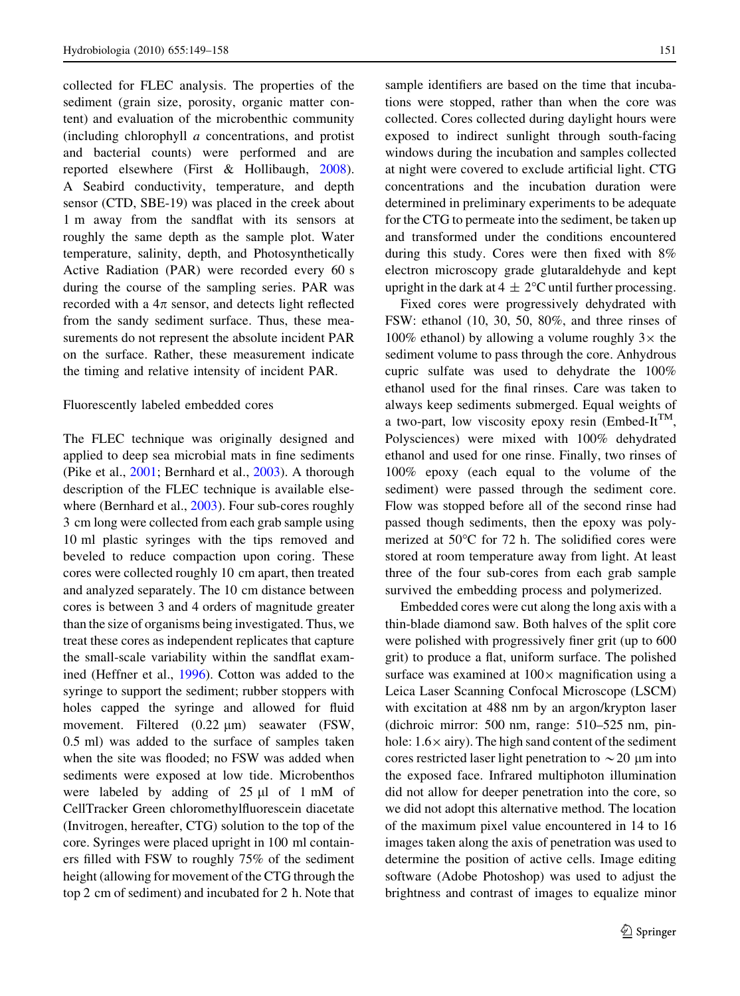collected for FLEC analysis. The properties of the sediment (grain size, porosity, organic matter content) and evaluation of the microbenthic community (including chlorophyll a concentrations, and protist and bacterial counts) were performed and are reported elsewhere (First & Hollibaugh, [2008](#page-8-0)). A Seabird conductivity, temperature, and depth sensor (CTD, SBE-19) was placed in the creek about 1 m away from the sandflat with its sensors at roughly the same depth as the sample plot. Water temperature, salinity, depth, and Photosynthetically Active Radiation (PAR) were recorded every 60 s during the course of the sampling series. PAR was recorded with a  $4\pi$  sensor, and detects light reflected from the sandy sediment surface. Thus, these measurements do not represent the absolute incident PAR on the surface. Rather, these measurement indicate the timing and relative intensity of incident PAR.

#### Fluorescently labeled embedded cores

The FLEC technique was originally designed and applied to deep sea microbial mats in fine sediments (Pike et al., [2001](#page-9-0); Bernhard et al., [2003](#page-8-0)). A thorough description of the FLEC technique is available elsewhere (Bernhard et al., [2003\)](#page-8-0). Four sub-cores roughly 3 cm long were collected from each grab sample using 10 ml plastic syringes with the tips removed and beveled to reduce compaction upon coring. These cores were collected roughly 10 cm apart, then treated and analyzed separately. The 10 cm distance between cores is between 3 and 4 orders of magnitude greater than the size of organisms being investigated. Thus, we treat these cores as independent replicates that capture the small-scale variability within the sandflat examined (Heffner et al., [1996](#page-8-0)). Cotton was added to the syringe to support the sediment; rubber stoppers with holes capped the syringe and allowed for fluid movement. Filtered  $(0.22 \mu m)$  seawater (FSW, 0.5 ml) was added to the surface of samples taken when the site was flooded; no FSW was added when sediments were exposed at low tide. Microbenthos were labeled by adding of  $25 \mu l$  of 1 mM of CellTracker Green chloromethylfluorescein diacetate (Invitrogen, hereafter, CTG) solution to the top of the core. Syringes were placed upright in 100 ml containers filled with FSW to roughly 75% of the sediment height (allowing for movement of the CTG through the top 2 cm of sediment) and incubated for 2 h. Note that

sample identifiers are based on the time that incubations were stopped, rather than when the core was collected. Cores collected during daylight hours were exposed to indirect sunlight through south-facing windows during the incubation and samples collected at night were covered to exclude artificial light. CTG concentrations and the incubation duration were determined in preliminary experiments to be adequate for the CTG to permeate into the sediment, be taken up and transformed under the conditions encountered during this study. Cores were then fixed with 8% electron microscopy grade glutaraldehyde and kept upright in the dark at  $4 \pm 2$ °C until further processing.

Fixed cores were progressively dehydrated with FSW: ethanol (10, 30, 50, 80%, and three rinses of 100% ethanol) by allowing a volume roughly  $3\times$  the sediment volume to pass through the core. Anhydrous cupric sulfate was used to dehydrate the 100% ethanol used for the final rinses. Care was taken to always keep sediments submerged. Equal weights of a two-part, low viscosity epoxy resin (Embed-It<sup>TM</sup>, Polysciences) were mixed with 100% dehydrated ethanol and used for one rinse. Finally, two rinses of 100% epoxy (each equal to the volume of the sediment) were passed through the sediment core. Flow was stopped before all of the second rinse had passed though sediments, then the epoxy was polymerized at  $50^{\circ}$ C for 72 h. The solidified cores were stored at room temperature away from light. At least three of the four sub-cores from each grab sample survived the embedding process and polymerized.

Embedded cores were cut along the long axis with a thin-blade diamond saw. Both halves of the split core were polished with progressively finer grit (up to 600 grit) to produce a flat, uniform surface. The polished surface was examined at  $100 \times$  magnification using a Leica Laser Scanning Confocal Microscope (LSCM) with excitation at 488 nm by an argon/krypton laser (dichroic mirror: 500 nm, range: 510–525 nm, pinhole:  $1.6 \times$  airy). The high sand content of the sediment cores restricted laser light penetration to  $\sim$  20  $\,\mu$ m into the exposed face. Infrared multiphoton illumination did not allow for deeper penetration into the core, so we did not adopt this alternative method. The location of the maximum pixel value encountered in 14 to 16 images taken along the axis of penetration was used to determine the position of active cells. Image editing software (Adobe Photoshop) was used to adjust the brightness and contrast of images to equalize minor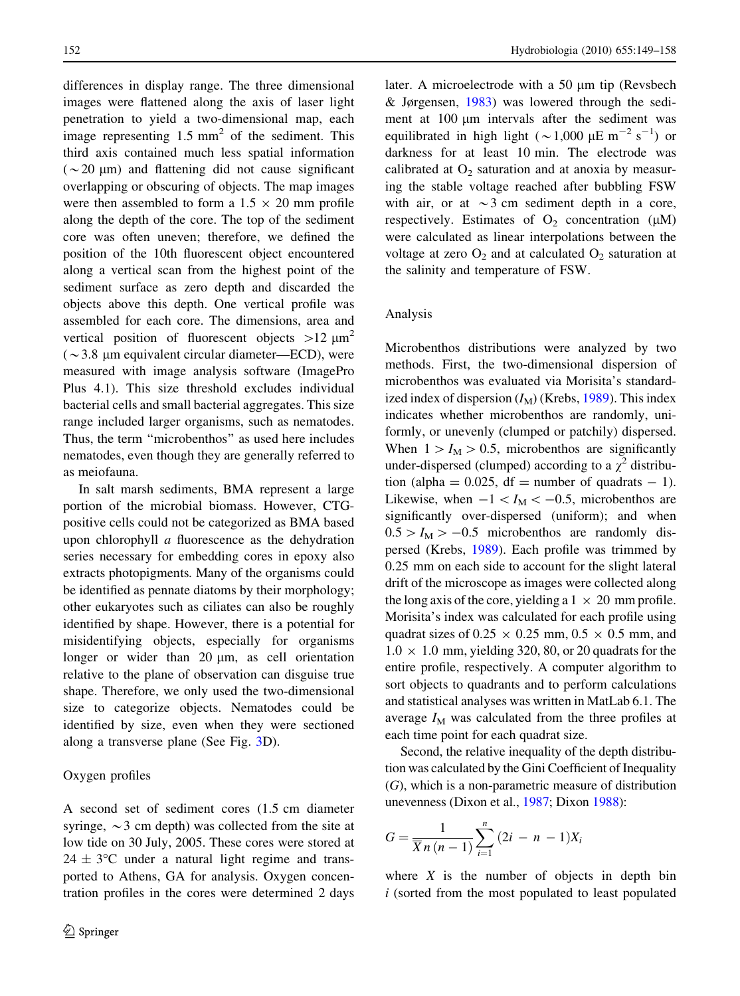differences in display range. The three dimensional images were flattened along the axis of laser light penetration to yield a two-dimensional map, each image representing  $1.5 \text{ mm}^2$  of the sediment. This third axis contained much less spatial information  $(\sim 20 \mu m)$  and flattening did not cause significant overlapping or obscuring of objects. The map images were then assembled to form a  $1.5 \times 20$  mm profile along the depth of the core. The top of the sediment core was often uneven; therefore, we defined the position of the 10th fluorescent object encountered along a vertical scan from the highest point of the sediment surface as zero depth and discarded the objects above this depth. One vertical profile was assembled for each core. The dimensions, area and vertical position of fluorescent objects  $>12 \mu m^2$  $(\sim 3.8 \mu m)$  equivalent circular diameter—ECD), were measured with image analysis software (ImagePro Plus 4.1). This size threshold excludes individual bacterial cells and small bacterial aggregates. This size range included larger organisms, such as nematodes. Thus, the term ''microbenthos'' as used here includes nematodes, even though they are generally referred to as meiofauna.

In salt marsh sediments, BMA represent a large portion of the microbial biomass. However, CTGpositive cells could not be categorized as BMA based upon chlorophyll a fluorescence as the dehydration series necessary for embedding cores in epoxy also extracts photopigments. Many of the organisms could be identified as pennate diatoms by their morphology; other eukaryotes such as ciliates can also be roughly identified by shape. However, there is a potential for misidentifying objects, especially for organisms longer or wider than  $20 \mu m$ , as cell orientation relative to the plane of observation can disguise true shape. Therefore, we only used the two-dimensional size to categorize objects. Nematodes could be identified by size, even when they were sectioned along a transverse plane (See Fig. [3](#page-5-0)D).

## Oxygen profiles

later. A microelectrode with a 50  $\mu$ m tip (Revsbech & Jørgensen, [1983](#page-9-0)) was lowered through the sediment at  $100 \mu m$  intervals after the sediment was equilibrated in high light ( $\sim$  1,000  $\mu$ E m<sup>-2</sup> s<sup>-1</sup>) or darkness for at least 10 min. The electrode was calibrated at  $O_2$  saturation and at anoxia by measuring the stable voltage reached after bubbling FSW with air, or at  $\sim$ 3 cm sediment depth in a core, respectively. Estimates of  $O_2$  concentration ( $\mu$ M) were calculated as linear interpolations between the voltage at zero  $O_2$  and at calculated  $O_2$  saturation at the salinity and temperature of FSW.

#### Analysis

Microbenthos distributions were analyzed by two methods. First, the two-dimensional dispersion of microbenthos was evaluated via Morisita's standardized index of dispersion  $(I_M)$  (Krebs, [1989\)](#page-8-0). This index indicates whether microbenthos are randomly, uniformly, or unevenly (clumped or patchily) dispersed. When  $1>I_M > 0.5$ , microbenthos are significantly under-dispersed (clumped) according to a  $\chi^2$  distribution (alpha =  $0.025$ , df = number of quadrats - 1). Likewise, when  $-1 < I_M < -0.5$ , microbenthos are significantly over-dispersed (uniform); and when  $0.5 > I_M > -0.5$  microbenthos are randomly dispersed (Krebs, [1989\)](#page-8-0). Each profile was trimmed by 0.25 mm on each side to account for the slight lateral drift of the microscope as images were collected along the long axis of the core, yielding a  $1 \times 20$  mm profile. Morisita's index was calculated for each profile using quadrat sizes of  $0.25 \times 0.25$  mm,  $0.5 \times 0.5$  mm, and  $1.0 \times 1.0$  mm, yielding 320, 80, or 20 quadrats for the entire profile, respectively. A computer algorithm to sort objects to quadrants and to perform calculations and statistical analyses was written in MatLab 6.1. The average  $I_M$  was calculated from the three profiles at each time point for each quadrat size.

Second, the relative inequality of the depth distribution was calculated by the Gini Coefficient of Inequality (G), which is a non-parametric measure of distribution unevenness (Dixon et al., [1987](#page-8-0); Dixon [1988\)](#page-8-0):

$$
G = \frac{1}{\overline{X}n(n-1)}\sum_{i=1}^{n} (2i - n - 1)X_i
$$

where  $X$  is the number of objects in depth bin  $i$  (sorted from the most populated to least populated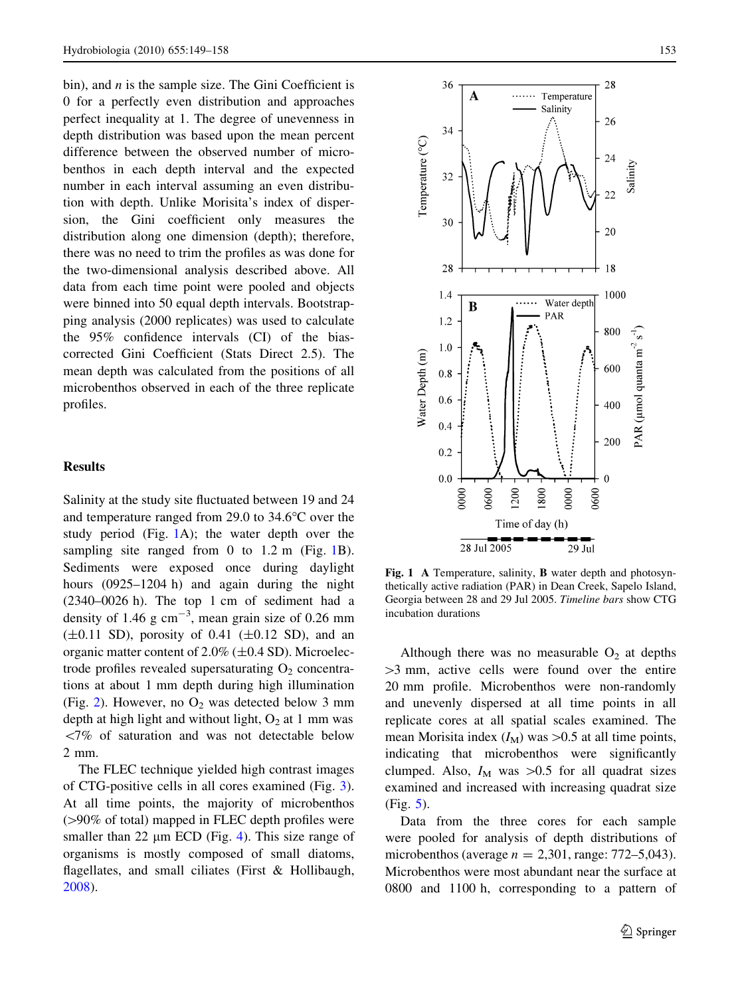bin), and  $n$  is the sample size. The Gini Coefficient is 0 for a perfectly even distribution and approaches perfect inequality at 1. The degree of unevenness in depth distribution was based upon the mean percent difference between the observed number of microbenthos in each depth interval and the expected number in each interval assuming an even distribution with depth. Unlike Morisita's index of dispersion, the Gini coefficient only measures the distribution along one dimension (depth); therefore, there was no need to trim the profiles as was done for the two-dimensional analysis described above. All data from each time point were pooled and objects were binned into 50 equal depth intervals. Bootstrapping analysis (2000 replicates) was used to calculate the 95% confidence intervals (CI) of the biascorrected Gini Coefficient (Stats Direct 2.5). The mean depth was calculated from the positions of all microbenthos observed in each of the three replicate profiles.

## Results

Salinity at the study site fluctuated between 19 and 24 and temperature ranged from 29.0 to  $34.6^{\circ}$ C over the study period (Fig. 1A); the water depth over the sampling site ranged from 0 to 1.2 m (Fig. 1B). Sediments were exposed once during daylight hours (0925–1204 h) and again during the night (2340–0026 h). The top 1 cm of sediment had a density of 1.46  $g \text{ cm}^{-3}$ , mean grain size of 0.26 mm  $(\pm 0.11$  SD), porosity of 0.41  $(\pm 0.12$  SD), and an organic matter content of  $2.0\%$  ( $\pm 0.4$  SD). Microelectrode profiles revealed supersaturating  $O<sub>2</sub>$  concentrations at about 1 mm depth during high illumination (Fig. [2](#page-5-0)). However, no  $O_2$  was detected below 3 mm depth at high light and without light,  $O<sub>2</sub>$  at 1 mm was  $\langle 7\%$  of saturation and was not detectable below 2 mm.

The FLEC technique yielded high contrast images of CTG-positive cells in all cores examined (Fig. [3](#page-5-0)). At all time points, the majority of microbenthos  $(>90\%$  of total) mapped in FLEC depth profiles were smaller than 22  $\mu$ m ECD (Fig. [4](#page-5-0)). This size range of organisms is mostly composed of small diatoms, flagellates, and small ciliates (First & Hollibaugh, [2008\)](#page-8-0).



Fig. 1 A Temperature, salinity, B water depth and photosynthetically active radiation (PAR) in Dean Creek, Sapelo Island, Georgia between 28 and 29 Jul 2005. Timeline bars show CTG incubation durations

Although there was no measurable  $O_2$  at depths  $>3$  mm, active cells were found over the entire 20 mm profile. Microbenthos were non-randomly and unevenly dispersed at all time points in all replicate cores at all spatial scales examined. The mean Morisita index  $(I_M)$  was >0.5 at all time points, indicating that microbenthos were significantly clumped. Also,  $I_M$  was  $>0.5$  for all quadrat sizes examined and increased with increasing quadrat size (Fig. [5](#page-5-0)).

Data from the three cores for each sample were pooled for analysis of depth distributions of microbenthos (average  $n = 2,301$ , range: 772–5,043). Microbenthos were most abundant near the surface at 0800 and 1100 h, corresponding to a pattern of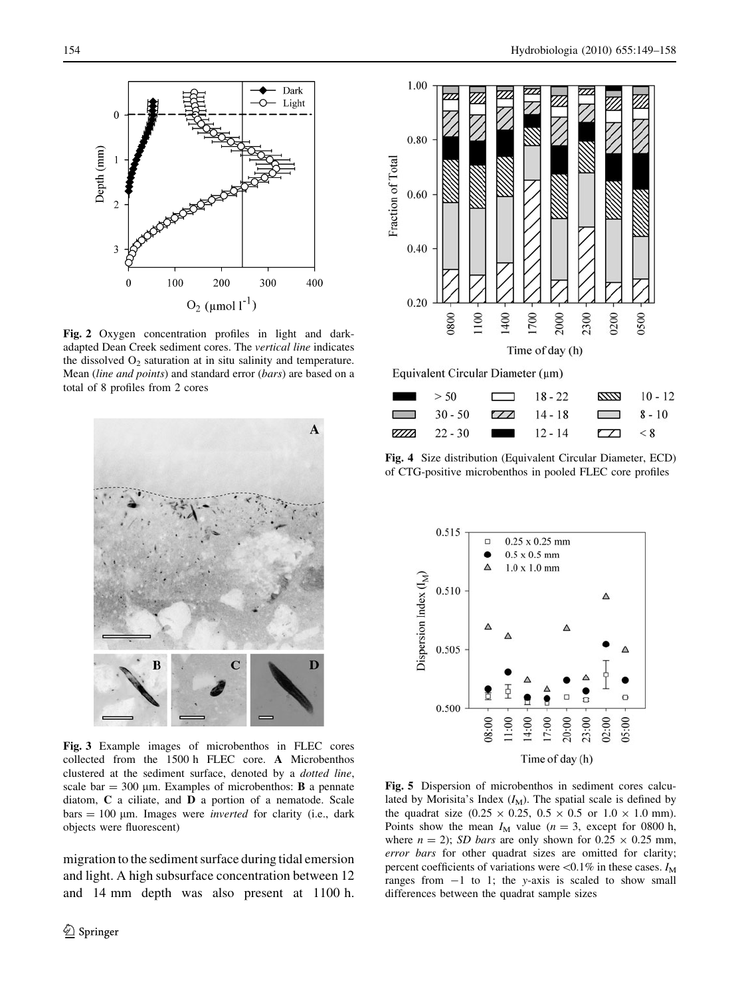<span id="page-5-0"></span>

Fig. 2 Oxygen concentration profiles in light and darkadapted Dean Creek sediment cores. The vertical line indicates the dissolved  $O_2$  saturation at in situ salinity and temperature. Mean (line and points) and standard error (bars) are based on a total of 8 profiles from 2 cores



Fig. 3 Example images of microbenthos in FLEC cores collected from the 1500 h FLEC core. A Microbenthos clustered at the sediment surface, denoted by a dotted line, scale bar  $= 300 \mu m$ . Examples of microbenthos: **B** a pennate diatom, C a ciliate, and D a portion of a nematode. Scale  $bars = 100 \mu m$ . Images were *inverted* for clarity (i.e., dark objects were fluorescent)

migration to the sediment surface during tidal emersion and light. A high subsurface concentration between 12 and 14 mm depth was also present at 1100 h.



Equivalent Circular Diameter (µm)



Fig. 4 Size distribution (Equivalent Circular Diameter, ECD) of CTG-positive microbenthos in pooled FLEC core profiles



Fig. 5 Dispersion of microbenthos in sediment cores calculated by Morisita's Index  $(I_M)$ . The spatial scale is defined by the quadrat size  $(0.25 \times 0.25, 0.5 \times 0.5 \text{ or } 1.0 \times 1.0 \text{ mm}).$ Points show the mean  $I_M$  value ( $n = 3$ , except for 0800 h, where  $n = 2$ ); SD bars are only shown for  $0.25 \times 0.25$  mm, error bars for other quadrat sizes are omitted for clarity; percent coefficients of variations were  $< 0.1\%$  in these cases.  $I_M$ ranges from  $-1$  to 1; the y-axis is scaled to show small differences between the quadrat sample sizes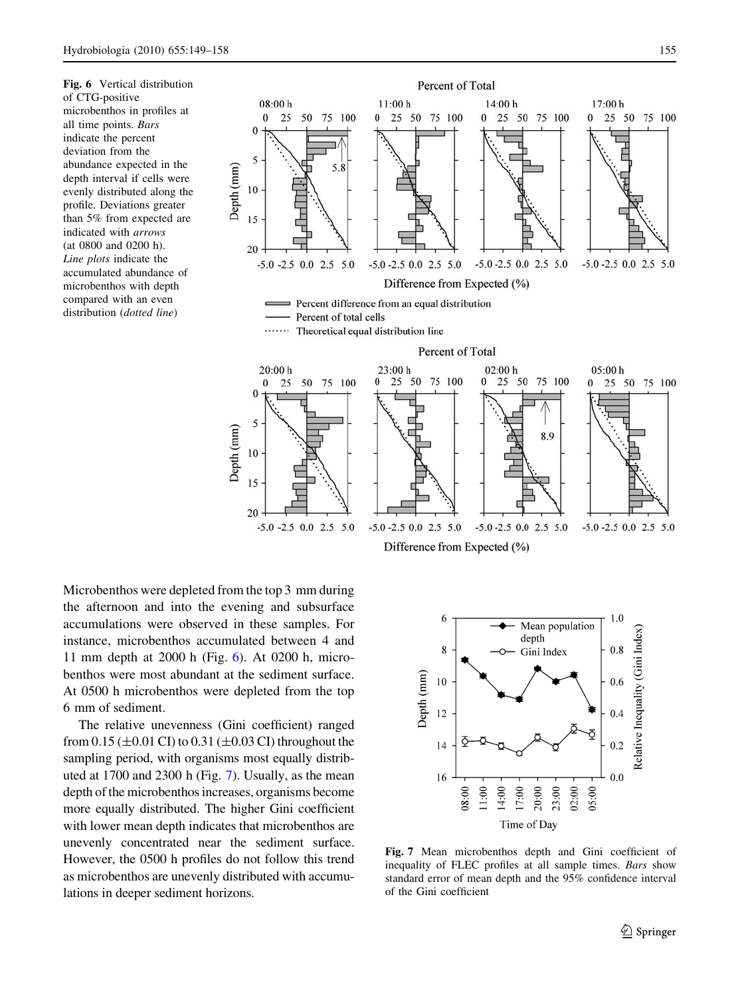Fig. 6 Vertical distribution of CTG-positive microbenthos in profiles at all time points. Bars indicate the percent deviation from the abundance expected in the depth interval if cells were evenly distributed along the profile. Deviations greater than 5% from expected are indicated with arrows (at 0800 and 0200 h). Line plots indicate the accumulated abundance of microbenthos with depth compared with an even distribution (dotted line)



 $-5.0 - 2.5 0.0 2.5 5.0$ 

Difference from Expected (%)

Microbenthos were depleted from the top 3 mm during the afternoon and into the evening and subsurface accumulations were observed in these samples. For instance, microbenthos accumulated between 4 and 11 mm depth at 2000 h (Fig. 6). At 0200 h, microbenthos were most abundant at the sediment surface. At 0500 h microbenthos were depleted from the top 6 mm of sediment.

20

 $-5.0 - 2.5 0.0 2.5 5.0$ 

The relative unevenness (Gini coefficient) ranged from  $0.15 \ (\pm 0.01 \ \text{CI})$  to  $0.31 \ (\pm 0.03 \ \text{CI})$  throughout the sampling period, with organisms most equally distributed at 1700 and 2300 h (Fig. 7). Usually, as the mean depth of the microbenthos increases, organisms become more equally distributed. The higher Gini coefficient with lower mean depth indicates that microbenthos are unevenly concentrated near the sediment surface. However, the 0500 h profiles do not follow this trend as microbenthos are unevenly distributed with accumulations in deeper sediment horizons.



 $-5.0 - 2.5 0.0 2.5 5.0$ 

Fig. 7 Mean microbenthos depth and Gini coefficient of inequality of FLEC profiles at all sample times. Bars show standard error of mean depth and the 95% confidence interval of the Gini coefficient

 $-5.0 - 2.5$  0.0 2.5 5.0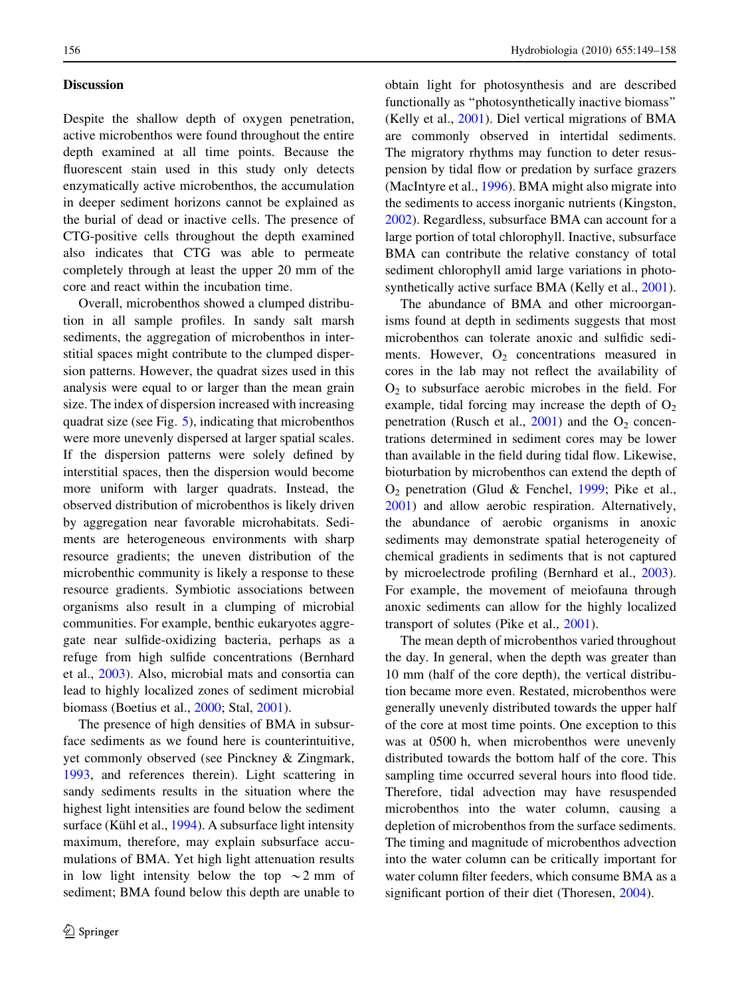# Discussion

Despite the shallow depth of oxygen penetration, active microbenthos were found throughout the entire depth examined at all time points. Because the fluorescent stain used in this study only detects enzymatically active microbenthos, the accumulation in deeper sediment horizons cannot be explained as the burial of dead or inactive cells. The presence of CTG-positive cells throughout the depth examined also indicates that CTG was able to permeate completely through at least the upper 20 mm of the core and react within the incubation time.

Overall, microbenthos showed a clumped distribution in all sample profiles. In sandy salt marsh sediments, the aggregation of microbenthos in interstitial spaces might contribute to the clumped dispersion patterns. However, the quadrat sizes used in this analysis were equal to or larger than the mean grain size. The index of dispersion increased with increasing quadrat size (see Fig. [5\)](#page-5-0), indicating that microbenthos were more unevenly dispersed at larger spatial scales. If the dispersion patterns were solely defined by interstitial spaces, then the dispersion would become more uniform with larger quadrats. Instead, the observed distribution of microbenthos is likely driven by aggregation near favorable microhabitats. Sediments are heterogeneous environments with sharp resource gradients; the uneven distribution of the microbenthic community is likely a response to these resource gradients. Symbiotic associations between organisms also result in a clumping of microbial communities. For example, benthic eukaryotes aggregate near sulfide-oxidizing bacteria, perhaps as a refuge from high sulfide concentrations (Bernhard et al., [2003\)](#page-8-0). Also, microbial mats and consortia can lead to highly localized zones of sediment microbial biomass (Boetius et al., [2000;](#page-8-0) Stal, [2001\)](#page-9-0).

The presence of high densities of BMA in subsurface sediments as we found here is counterintuitive, yet commonly observed (see Pinckney & Zingmark, [1993,](#page-9-0) and references therein). Light scattering in sandy sediments results in the situation where the highest light intensities are found below the sediment surface (Kühl et al.,  $1994$ ). A subsurface light intensity maximum, therefore, may explain subsurface accumulations of BMA. Yet high light attenuation results in low light intensity below the top  $\sim$  2 mm of sediment; BMA found below this depth are unable to obtain light for photosynthesis and are described functionally as ''photosynthetically inactive biomass'' (Kelly et al., [2001\)](#page-8-0). Diel vertical migrations of BMA are commonly observed in intertidal sediments. The migratory rhythms may function to deter resuspension by tidal flow or predation by surface grazers (MacIntyre et al., [1996\)](#page-8-0). BMA might also migrate into the sediments to access inorganic nutrients (Kingston, [2002\)](#page-8-0). Regardless, subsurface BMA can account for a large portion of total chlorophyll. Inactive, subsurface BMA can contribute the relative constancy of total sediment chlorophyll amid large variations in photosynthetically active surface BMA (Kelly et al., [2001](#page-8-0)).

The abundance of BMA and other microorganisms found at depth in sediments suggests that most microbenthos can tolerate anoxic and sulfidic sediments. However,  $O_2$  concentrations measured in cores in the lab may not reflect the availability of  $O<sub>2</sub>$  to subsurface aerobic microbes in the field. For example, tidal forcing may increase the depth of  $O<sub>2</sub>$ penetration (Rusch et al.,  $2001$ ) and the O<sub>2</sub> concentrations determined in sediment cores may be lower than available in the field during tidal flow. Likewise, bioturbation by microbenthos can extend the depth of O2 penetration (Glud & Fenchel, [1999](#page-8-0); Pike et al., [2001\)](#page-9-0) and allow aerobic respiration. Alternatively, the abundance of aerobic organisms in anoxic sediments may demonstrate spatial heterogeneity of chemical gradients in sediments that is not captured by microelectrode profiling (Bernhard et al., [2003](#page-8-0)). For example, the movement of meiofauna through anoxic sediments can allow for the highly localized transport of solutes (Pike et al., [2001](#page-9-0)).

The mean depth of microbenthos varied throughout the day. In general, when the depth was greater than 10 mm (half of the core depth), the vertical distribution became more even. Restated, microbenthos were generally unevenly distributed towards the upper half of the core at most time points. One exception to this was at 0500 h, when microbenthos were unevenly distributed towards the bottom half of the core. This sampling time occurred several hours into flood tide. Therefore, tidal advection may have resuspended microbenthos into the water column, causing a depletion of microbenthos from the surface sediments. The timing and magnitude of microbenthos advection into the water column can be critically important for water column filter feeders, which consume BMA as a significant portion of their diet (Thoresen, [2004](#page-9-0)).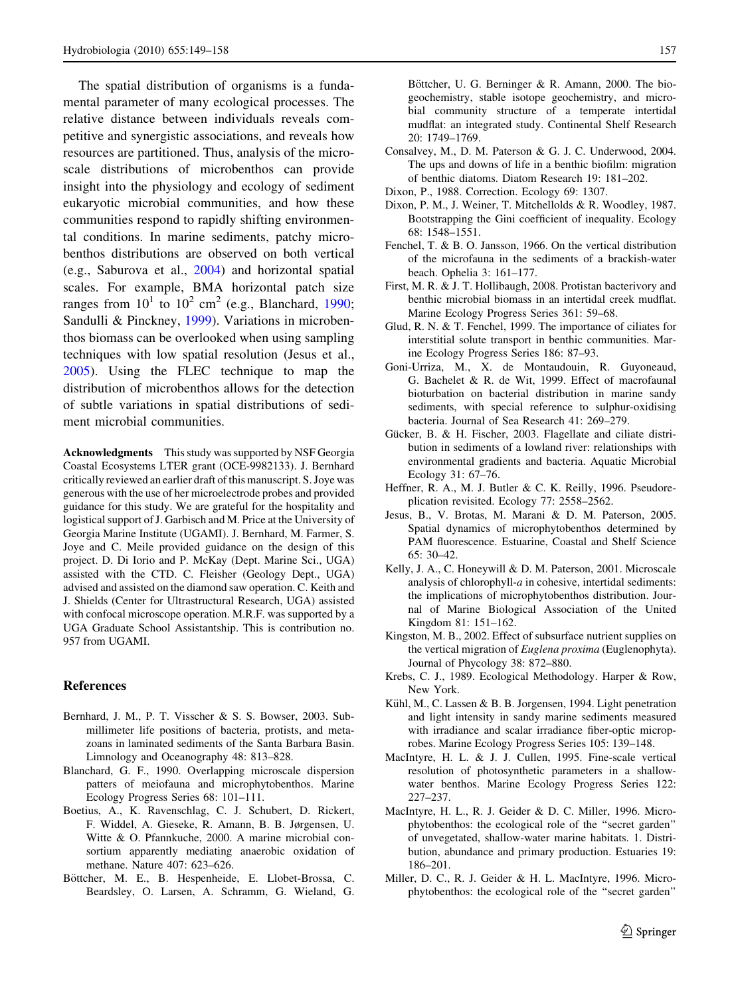<span id="page-8-0"></span>The spatial distribution of organisms is a fundamental parameter of many ecological processes. The relative distance between individuals reveals competitive and synergistic associations, and reveals how resources are partitioned. Thus, analysis of the microscale distributions of microbenthos can provide insight into the physiology and ecology of sediment eukaryotic microbial communities, and how these communities respond to rapidly shifting environmental conditions. In marine sediments, patchy microbenthos distributions are observed on both vertical (e.g., Saburova et al., [2004](#page-9-0)) and horizontal spatial scales. For example, BMA horizontal patch size ranges from  $10^1$  to  $10^2$  cm<sup>2</sup> (e.g., Blanchard, 1990; Sandulli & Pinckney, [1999\)](#page-9-0). Variations in microbenthos biomass can be overlooked when using sampling techniques with low spatial resolution (Jesus et al., 2005). Using the FLEC technique to map the distribution of microbenthos allows for the detection of subtle variations in spatial distributions of sediment microbial communities.

Acknowledgments This study was supported by NSF Georgia Coastal Ecosystems LTER grant (OCE-9982133). J. Bernhard critically reviewed an earlier draft of this manuscript. S. Joye was generous with the use of her microelectrode probes and provided guidance for this study. We are grateful for the hospitality and logistical support of J. Garbisch and M. Price at the University of Georgia Marine Institute (UGAMI). J. Bernhard, M. Farmer, S. Joye and C. Meile provided guidance on the design of this project. D. Di Iorio and P. McKay (Dept. Marine Sci., UGA) assisted with the CTD. C. Fleisher (Geology Dept., UGA) advised and assisted on the diamond saw operation. C. Keith and J. Shields (Center for Ultrastructural Research, UGA) assisted with confocal microscope operation. M.R.F. was supported by a UGA Graduate School Assistantship. This is contribution no. 957 from UGAMI.

#### References

- Bernhard, J. M., P. T. Visscher & S. S. Bowser, 2003. Submillimeter life positions of bacteria, protists, and metazoans in laminated sediments of the Santa Barbara Basin. Limnology and Oceanography 48: 813–828.
- Blanchard, G. F., 1990. Overlapping microscale dispersion patters of meiofauna and microphytobenthos. Marine Ecology Progress Series 68: 101–111.
- Boetius, A., K. Ravenschlag, C. J. Schubert, D. Rickert, F. Widdel, A. Gieseke, R. Amann, B. B. Jørgensen, U. Witte & O. Pfannkuche, 2000. A marine microbial consortium apparently mediating anaerobic oxidation of methane. Nature 407: 623–626.
- Böttcher, M. E., B. Hespenheide, E. Llobet-Brossa, C. Beardsley, O. Larsen, A. Schramm, G. Wieland, G.

Böttcher, U. G. Berninger & R. Amann, 2000. The biogeochemistry, stable isotope geochemistry, and microbial community structure of a temperate intertidal mudflat: an integrated study. Continental Shelf Research 20: 1749–1769.

- Consalvey, M., D. M. Paterson & G. J. C. Underwood, 2004. The ups and downs of life in a benthic biofilm: migration of benthic diatoms. Diatom Research 19: 181–202.
- Dixon, P., 1988. Correction. Ecology 69: 1307.
- Dixon, P. M., J. Weiner, T. Mitchellolds & R. Woodley, 1987. Bootstrapping the Gini coefficient of inequality. Ecology 68: 1548–1551.
- Fenchel, T. & B. O. Jansson, 1966. On the vertical distribution of the microfauna in the sediments of a brackish-water beach. Ophelia 3: 161–177.
- First, M. R. & J. T. Hollibaugh, 2008. Protistan bacterivory and benthic microbial biomass in an intertidal creek mudflat. Marine Ecology Progress Series 361: 59–68.
- Glud, R. N. & T. Fenchel, 1999. The importance of ciliates for interstitial solute transport in benthic communities. Marine Ecology Progress Series 186: 87–93.
- Goni-Urriza, M., X. de Montaudouin, R. Guyoneaud, G. Bachelet & R. de Wit, 1999. Effect of macrofaunal bioturbation on bacterial distribution in marine sandy sediments, with special reference to sulphur-oxidising bacteria. Journal of Sea Research 41: 269–279.
- Gücker, B. & H. Fischer, 2003. Flagellate and ciliate distribution in sediments of a lowland river: relationships with environmental gradients and bacteria. Aquatic Microbial Ecology 31: 67–76.
- Heffner, R. A., M. J. Butler & C. K. Reilly, 1996. Pseudoreplication revisited. Ecology 77: 2558–2562.
- Jesus, B., V. Brotas, M. Marani & D. M. Paterson, 2005. Spatial dynamics of microphytobenthos determined by PAM fluorescence. Estuarine, Coastal and Shelf Science 65: 30–42.
- Kelly, J. A., C. Honeywill & D. M. Paterson, 2001. Microscale analysis of chlorophyll-a in cohesive, intertidal sediments: the implications of microphytobenthos distribution. Journal of Marine Biological Association of the United Kingdom 81: 151–162.
- Kingston, M. B., 2002. Effect of subsurface nutrient supplies on the vertical migration of Euglena proxima (Euglenophyta). Journal of Phycology 38: 872–880.
- Krebs, C. J., 1989. Ecological Methodology. Harper & Row, New York.
- Kühl, M., C. Lassen & B. B. Jorgensen, 1994. Light penetration and light intensity in sandy marine sediments measured with irradiance and scalar irradiance fiber-optic microprobes. Marine Ecology Progress Series 105: 139–148.
- MacIntyre, H. L. & J. J. Cullen, 1995. Fine-scale vertical resolution of photosynthetic parameters in a shallowwater benthos. Marine Ecology Progress Series 122: 227–237.
- MacIntyre, H. L., R. J. Geider & D. C. Miller, 1996. Microphytobenthos: the ecological role of the ''secret garden'' of unvegetated, shallow-water marine habitats. 1. Distribution, abundance and primary production. Estuaries 19: 186–201.
- Miller, D. C., R. J. Geider & H. L. MacIntyre, 1996. Microphytobenthos: the ecological role of the ''secret garden''